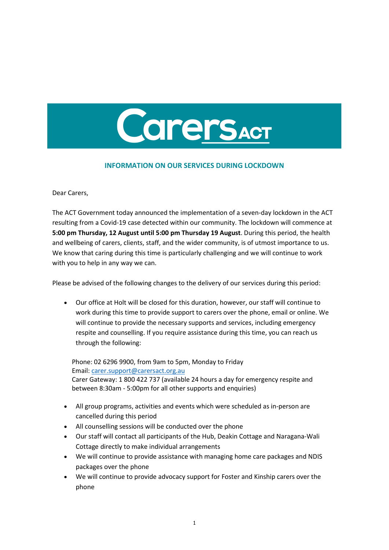

## INFORMATION ON OUR SERVICES DURING LOCKDOWN

Dear Carers,

The ACT Government today announced the implementation of a seven-day lockdown in the ACT resulting from a Covid-19 case detected within our community. The lockdown will commence at 5:00 pm Thursday, 12 August until 5:00 pm Thursday 19 August. During this period, the health and wellbeing of carers, clients, staff, and the wider community, is of utmost importance to us. We know that caring during this time is particularly challenging and we will continue to work with you to help in any way we can.

Please be advised of the following changes to the delivery of our services during this period:

 Our office at Holt will be closed for this duration, however, our staff will continue to work during this time to provide support to carers over the phone, email or online. We will continue to provide the necessary supports and services, including emergency respite and counselling. If you require assistance during this time, you can reach us through the following:

Phone: 02 6296 9900, from 9am to 5pm, Monday to Friday Email: carer.support@carersact.org.au Carer Gateway: 1 800 422 737 (available 24 hours a day for emergency respite and between 8:30am - 5:00pm for all other supports and enquiries)

- All group programs, activities and events which were scheduled as in-person are cancelled during this period
- All counselling sessions will be conducted over the phone
- Our staff will contact all participants of the Hub, Deakin Cottage and Naragana-Wali Cottage directly to make individual arrangements
- We will continue to provide assistance with managing home care packages and NDIS packages over the phone
- We will continue to provide advocacy support for Foster and Kinship carers over the phone